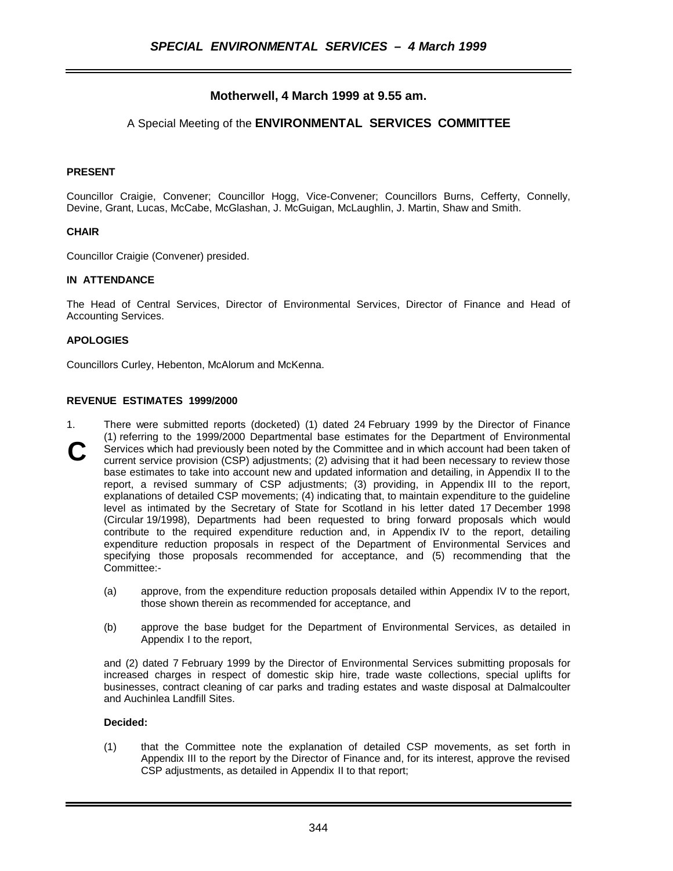# **Motherwell, 4 March 1999 at 9.55 am.**

## A Special Meeting of the **ENVIRONMENTAL SERVICES COMMITTEE**

### **PRESENT**

Councillor Craigie, Convener; Councillor Hogg, Vice-Convener; Councillors Burns, Cefferty, Connelly, Devine, Grant, Lucas, McCabe, McGlashan, J. McGuigan, McLaughlin, J. Martin, Shaw and Smith.

#### **CHAIR**

Councillor Craigie (Convener) presided.

#### **IN ATTENDANCE**

The Head of Central Services, Director of Environmental Services, Director of Finance and Head of Accounting Services.

#### **APOLOGIES**

Councillors Curley, Hebenton, McAlorum and McKenna.

#### **REVENUE ESTIMATES 1999/2000**

- 1. There were submitted reports (docketed) (1) dated 24 February 1999 by the Director of Finance (1) referring to the 1999/2000 Departmental base estimates for the Department of Environmental Services which had previously been noted by the Committee and in which account had been taken of current service provision (CSP) adjustments; (2) advising that it had been necessary to review those base estimates to take into account new and updated information and detailing, in Appendix II to the report, a revised summary of CSP adjustments; (3) providing, in Appendix III to the report, explanations of detailed CSP movements; (4) indicating that, to maintain expenditure to the guideline level as intimated by the Secretary of State for Scotland in his letter dated 17 December 1998 (Circular 19/1998), Departments had been requested to bring forward proposals which would contribute to the required expenditure reduction and, in Appendix IV to the report, detailing expenditure reduction proposals in respect of the Department of Environmental Services and specifying those proposals recommended for acceptance, and (5) recommending that the Committee:- **C**
	- (a) approve, from the expenditure reduction proposals detailed within Appendix IV to the report, those shown therein as recommended for acceptance, and
	- (b) approve the base budget for the Department of Environmental Services, as detailed in Appendix I to the report,

and (2) dated 7 February 1999 by the Director of Environmental Services submitting proposals for increased charges in respect of domestic skip hire, trade waste collections, special uplifts for businesses, contract cleaning of car parks and trading estates and waste disposal at Dalmalcoulter and Auchinlea Landfill Sites.

#### **Decided:**

(1) that the Committee note the explanation of detailed CSP movements, as set forth in Appendix III to the report by the Director of Finance and, for its interest, approve the revised CSP adjustments, as detailed in Appendix II to that report;